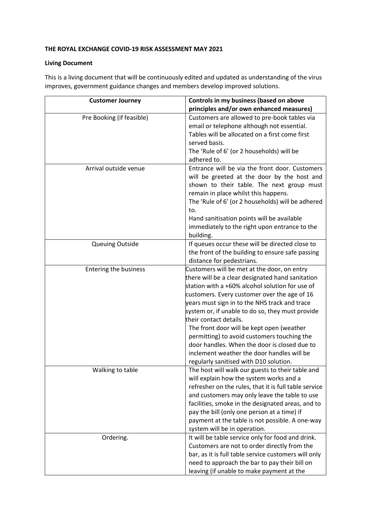## **THE ROYAL EXCHANGE COVID-19 RISK ASSESSMENT MAY 2021**

## **Living Document**

This is a living document that will be continuously edited and updated as understanding of the virus improves, government guidance changes and members develop improved solutions.

| <b>Customer Journey</b>      | Controls in my business (based on above                                                             |
|------------------------------|-----------------------------------------------------------------------------------------------------|
|                              | principles and/or own enhanced measures)                                                            |
| Pre Booking (if feasible)    | Customers are allowed to pre-book tables via                                                        |
|                              | email or telephone although not essential.                                                          |
|                              | Tables will be allocated on a first come first                                                      |
|                              | served basis.                                                                                       |
|                              | The 'Rule of 6' (or 2 households) will be                                                           |
|                              | adhered to.                                                                                         |
| Arrival outside venue        | Entrance will be via the front door. Customers                                                      |
|                              | will be greeted at the door by the host and                                                         |
|                              | shown to their table. The next group must                                                           |
|                              | remain in place whilst this happens.                                                                |
|                              | The 'Rule of 6' (or 2 households) will be adhered                                                   |
|                              | to.                                                                                                 |
|                              | Hand sanitisation points will be available                                                          |
|                              | immediately to the right upon entrance to the                                                       |
|                              | building.                                                                                           |
| Queuing Outside              | If queues occur these will be directed close to                                                     |
|                              | the front of the building to ensure safe passing                                                    |
|                              | distance for pedestrians.                                                                           |
| <b>Entering the business</b> | Customers will be met at the door, on entry                                                         |
|                              | there will be a clear designated hand sanitation<br>station with a +60% alcohol solution for use of |
|                              |                                                                                                     |
|                              | customers. Every customer over the age of 16<br>years must sign in to the NHS track and trace       |
|                              | system or, if unable to do so, they must provide                                                    |
|                              | their contact details.                                                                              |
|                              | The front door will be kept open (weather                                                           |
|                              | permitting) to avoid customers touching the                                                         |
|                              | door handles. When the door is closed due to                                                        |
|                              | inclement weather the door handles will be                                                          |
|                              | regularly sanitised with D10 solution.                                                              |
| Walking to table             | The host will walk our guests to their table and                                                    |
|                              | will explain how the system works and a                                                             |
|                              | refresher on the rules, that it is full table service                                               |
|                              | and customers may only leave the table to use                                                       |
|                              | facilities, smoke in the designated areas, and to                                                   |
|                              | pay the bill (only one person at a time) if                                                         |
|                              | payment at the table is not possible. A one-way                                                     |
|                              | system will be in operation.                                                                        |
| Ordering.                    | It will be table service only for food and drink.                                                   |
|                              | Customers are not to order directly from the                                                        |
|                              | bar, as it is full table service customers will only                                                |
|                              | need to approach the bar to pay their bill on                                                       |
|                              | leaving (if unable to make payment at the                                                           |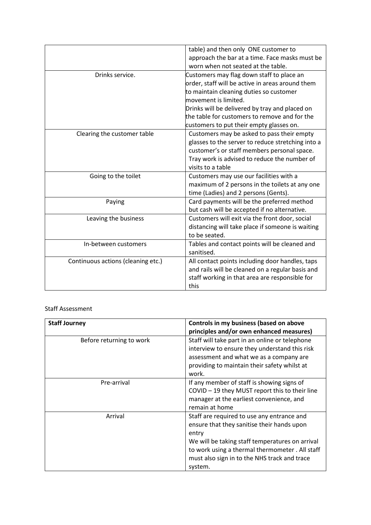|                                    | table) and then only ONE customer to              |
|------------------------------------|---------------------------------------------------|
|                                    | approach the bar at a time. Face masks must be    |
|                                    | worn when not seated at the table.                |
| Drinks service.                    | Customers may flag down staff to place an         |
|                                    | order, staff will be active in areas around them  |
|                                    | to maintain cleaning duties so customer           |
|                                    | movement is limited.                              |
|                                    | Drinks will be delivered by tray and placed on    |
|                                    | the table for customers to remove and for the     |
|                                    | customers to put their empty glasses on.          |
| Clearing the customer table        | Customers may be asked to pass their empty        |
|                                    | glasses to the server to reduce stretching into a |
|                                    | customer's or staff members personal space.       |
|                                    | Tray work is advised to reduce the number of      |
|                                    | visits to a table                                 |
| Going to the toilet                | Customers may use our facilities with a           |
|                                    | maximum of 2 persons in the toilets at any one    |
|                                    | time (Ladies) and 2 persons (Gents).              |
| Paying                             | Card payments will be the preferred method        |
|                                    | but cash will be accepted if no alternative.      |
| Leaving the business               | Customers will exit via the front door, social    |
|                                    | distancing will take place if someone is waiting  |
|                                    | to be seated.                                     |
| In-between customers               | Tables and contact points will be cleaned and     |
|                                    | sanitised.                                        |
| Continuous actions (cleaning etc.) | All contact points including door handles, taps   |
|                                    | and rails will be cleaned on a regular basis and  |
|                                    | staff working in that area are responsible for    |
|                                    | this                                              |
|                                    |                                                   |

## Staff Assessment

| <b>Staff Journey</b>     | Controls in my business (based on above                                                                                                                                                                                                                           |
|--------------------------|-------------------------------------------------------------------------------------------------------------------------------------------------------------------------------------------------------------------------------------------------------------------|
|                          | principles and/or own enhanced measures)                                                                                                                                                                                                                          |
| Before returning to work | Staff will take part in an online or telephone<br>interview to ensure they understand this risk<br>assessment and what we as a company are<br>providing to maintain their safety whilst at<br>work.                                                               |
| Pre-arrival              | If any member of staff is showing signs of<br>COVID - 19 they MUST report this to their line<br>manager at the earliest convenience, and<br>remain at home                                                                                                        |
| Arrival                  | Staff are required to use any entrance and<br>ensure that they sanitise their hands upon<br>entry<br>We will be taking staff temperatures on arrival<br>to work using a thermal thermometer. All staff<br>must also sign in to the NHS track and trace<br>system. |